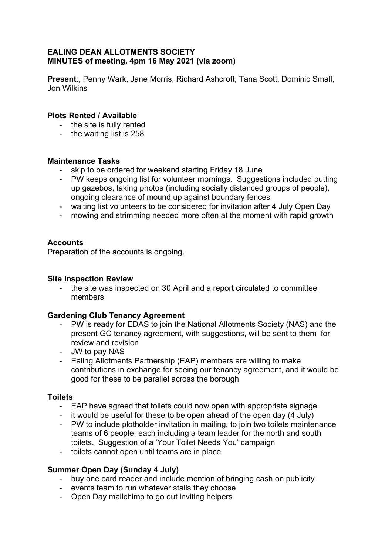### **EALING DEAN ALLOTMENTS SOCIETY MINUTES of meeting, 4pm 16 May 2021 (via zoom)**

**Present**:, Penny Wark, Jane Morris, Richard Ashcroft, Tana Scott, Dominic Small, Jon Wilkins

## **Plots Rented / Available**

- the site is fully rented
- the waiting list is 258

### **Maintenance Tasks**

- skip to be ordered for weekend starting Friday 18 June
- PW keeps ongoing list for volunteer mornings. Suggestions included putting up gazebos, taking photos (including socially distanced groups of people), ongoing clearance of mound up against boundary fences
- waiting list volunteers to be considered for invitation after 4 July Open Day
- mowing and strimming needed more often at the moment with rapid growth

## **Accounts**

Preparation of the accounts is ongoing.

#### **Site Inspection Review**

- the site was inspected on 30 April and a report circulated to committee members

## **Gardening Club Tenancy Agreement**

- PW is ready for EDAS to join the National Allotments Society (NAS) and the present GC tenancy agreement, with suggestions, will be sent to them for review and revision
- JW to pay NAS
- Ealing Allotments Partnership (EAP) members are willing to make contributions in exchange for seeing our tenancy agreement, and it would be good for these to be parallel across the borough

#### **Toilets**

- EAP have agreed that toilets could now open with appropriate signage
- it would be useful for these to be open ahead of the open day (4 July)
- PW to include plotholder invitation in mailing, to join two toilets maintenance teams of 6 people, each including a team leader for the north and south toilets. Suggestion of a 'Your Toilet Needs You' campaign
- toilets cannot open until teams are in place

## **Summer Open Day (Sunday 4 July)**

- buy one card reader and include mention of bringing cash on publicity
- events team to run whatever stalls they choose
- Open Day mailchimp to go out inviting helpers